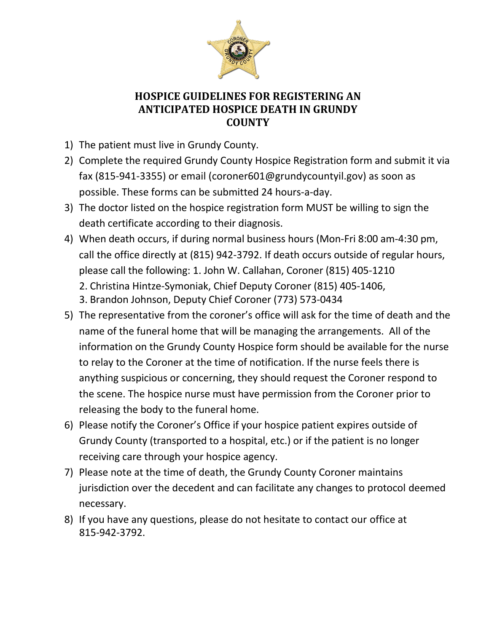

## **HOSPICE GUIDELINES FOR REGISTERING AN ANTICIPATED HOSPICE DEATH IN GRUNDY COUNTY**

- 1) The patient must live in Grundy County.
- 2) Complete the required Grundy County Hospice Registration form and submit it via fax (815-941-3355) or email (coroner601@grundycountyil.gov) as soon as possible. These forms can be submitted 24 hours-a-day.
- 3) The doctor listed on the hospice registration form MUST be willing to sign the death certificate according to their diagnosis.
- 4) When death occurs, if during normal business hours (Mon-Fri 8:00 am-4:30 pm, call the office directly at (815) 942-3792. If death occurs outside of regular hours, please call the following: 1. John W. Callahan, Coroner (815) 405-1210 2. Christina Hintze-Symoniak, Chief Deputy Coroner (815) 405-1406,
	- 3. Brandon Johnson, Deputy Chief Coroner (773) 573-0434
- 5) The representative from the coroner's office will ask for the time of death and the name of the funeral home that will be managing the arrangements. All of the information on the Grundy County Hospice form should be available for the nurse to relay to the Coroner at the time of notification. If the nurse feels there is anything suspicious or concerning, they should request the Coroner respond to the scene. The hospice nurse must have permission from the Coroner prior to releasing the body to the funeral home.
- 6) Please notify the Coroner's Office if your hospice patient expires outside of Grundy County (transported to a hospital, etc.) or if the patient is no longer receiving care through your hospice agency.
- 7) Please note at the time of death, the Grundy County Coroner maintains jurisdiction over the decedent and can facilitate any changes to protocol deemed necessary.
- 8) If you have any questions, please do not hesitate to contact our office at 815-942-3792.